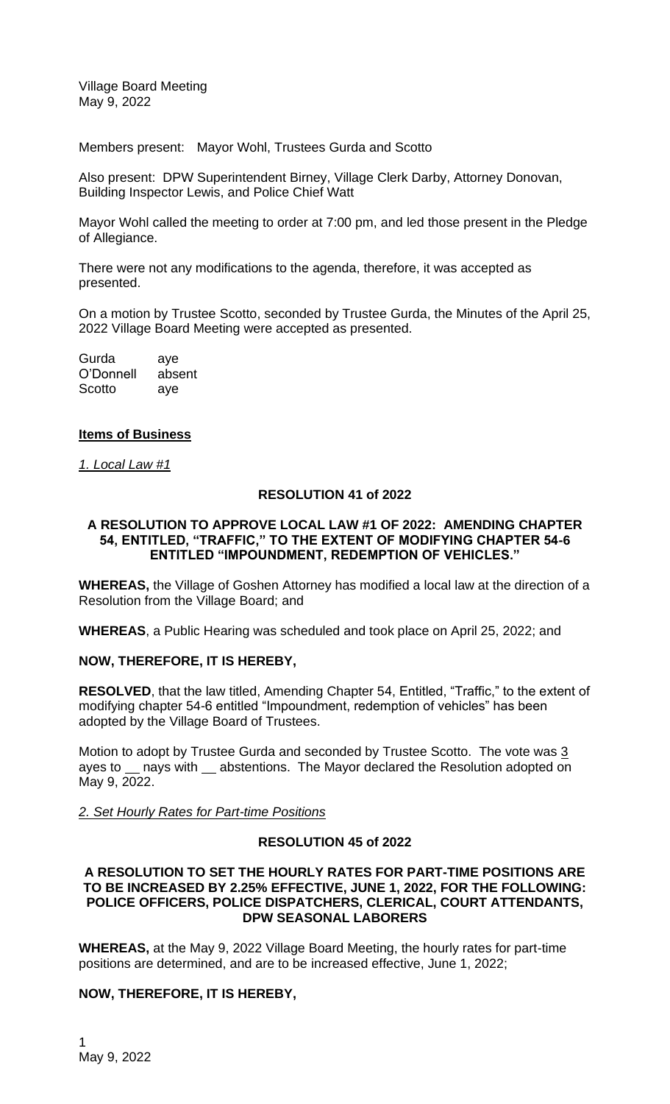Village Board Meeting May 9, 2022

Members present: Mayor Wohl, Trustees Gurda and Scotto

Also present: DPW Superintendent Birney, Village Clerk Darby, Attorney Donovan, Building Inspector Lewis, and Police Chief Watt

Mayor Wohl called the meeting to order at 7:00 pm, and led those present in the Pledge of Allegiance.

There were not any modifications to the agenda, therefore, it was accepted as presented.

On a motion by Trustee Scotto, seconded by Trustee Gurda, the Minutes of the April 25, 2022 Village Board Meeting were accepted as presented.

| Gurda     | aye    |
|-----------|--------|
| O'Donnell | absent |
| Scotto    | aye    |

#### **Items of Business**

*1. Local Law #1*

#### **RESOLUTION 41 of 2022**

#### **A RESOLUTION TO APPROVE LOCAL LAW #1 OF 2022: AMENDING CHAPTER 54, ENTITLED, "TRAFFIC," TO THE EXTENT OF MODIFYING CHAPTER 54-6 ENTITLED "IMPOUNDMENT, REDEMPTION OF VEHICLES."**

**WHEREAS,** the Village of Goshen Attorney has modified a local law at the direction of a Resolution from the Village Board; and

**WHEREAS**, a Public Hearing was scheduled and took place on April 25, 2022; and

# **NOW, THEREFORE, IT IS HEREBY,**

**RESOLVED**, that the law titled, Amending Chapter 54, Entitled, "Traffic," to the extent of modifying chapter 54-6 entitled "Impoundment, redemption of vehicles" has been adopted by the Village Board of Trustees.

Motion to adopt by Trustee Gurda and seconded by Trustee Scotto. The vote was 3 ayes to \_\_ nays with \_\_ abstentions. The Mayor declared the Resolution adopted on May 9, 2022.

*2. Set Hourly Rates for Part-time Positions*

#### **RESOLUTION 45 of 2022**

#### **A RESOLUTION TO SET THE HOURLY RATES FOR PART-TIME POSITIONS ARE TO BE INCREASED BY 2.25% EFFECTIVE, JUNE 1, 2022, FOR THE FOLLOWING: POLICE OFFICERS, POLICE DISPATCHERS, CLERICAL, COURT ATTENDANTS, DPW SEASONAL LABORERS**

**WHEREAS,** at the May 9, 2022 Village Board Meeting, the hourly rates for part-time positions are determined, and are to be increased effective, June 1, 2022;

# **NOW, THEREFORE, IT IS HEREBY,**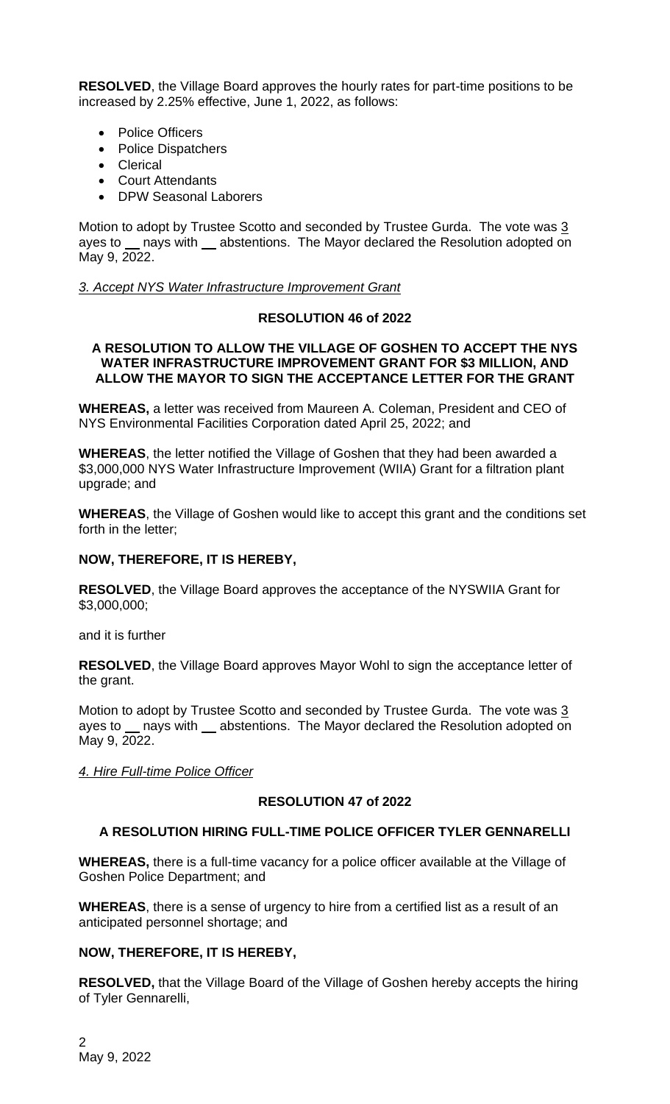**RESOLVED**, the Village Board approves the hourly rates for part-time positions to be increased by 2.25% effective, June 1, 2022, as follows:

- Police Officers
- Police Dispatchers
- Clerical
- Court Attendants
- DPW Seasonal Laborers

Motion to adopt by Trustee Scotto and seconded by Trustee Gurda. The vote was 3 ayes to nays with abstentions. The Mayor declared the Resolution adopted on May 9, 2022.

#### *3. Accept NYS Water Infrastructure Improvement Grant*

# **RESOLUTION 46 of 2022**

#### **A RESOLUTION TO ALLOW THE VILLAGE OF GOSHEN TO ACCEPT THE NYS WATER INFRASTRUCTURE IMPROVEMENT GRANT FOR \$3 MILLION, AND ALLOW THE MAYOR TO SIGN THE ACCEPTANCE LETTER FOR THE GRANT**

**WHEREAS,** a letter was received from Maureen A. Coleman, President and CEO of NYS Environmental Facilities Corporation dated April 25, 2022; and

**WHEREAS**, the letter notified the Village of Goshen that they had been awarded a \$3,000,000 NYS Water Infrastructure Improvement (WIIA) Grant for a filtration plant upgrade; and

**WHEREAS**, the Village of Goshen would like to accept this grant and the conditions set forth in the letter;

# **NOW, THEREFORE, IT IS HEREBY,**

**RESOLVED**, the Village Board approves the acceptance of the NYSWIIA Grant for \$3,000,000;

and it is further

**RESOLVED**, the Village Board approves Mayor Wohl to sign the acceptance letter of the grant.

Motion to adopt by Trustee Scotto and seconded by Trustee Gurda. The vote was  $3/2$ ayes to nays with abstentions. The Mayor declared the Resolution adopted on May 9, 2022.

*4. Hire Full-time Police Officer*

# **RESOLUTION 47 of 2022**

# **A RESOLUTION HIRING FULL-TIME POLICE OFFICER TYLER GENNARELLI**

**WHEREAS,** there is a full-time vacancy for a police officer available at the Village of Goshen Police Department; and

**WHEREAS**, there is a sense of urgency to hire from a certified list as a result of an anticipated personnel shortage; and

# **NOW, THEREFORE, IT IS HEREBY,**

**RESOLVED,** that the Village Board of the Village of Goshen hereby accepts the hiring of Tyler Gennarelli,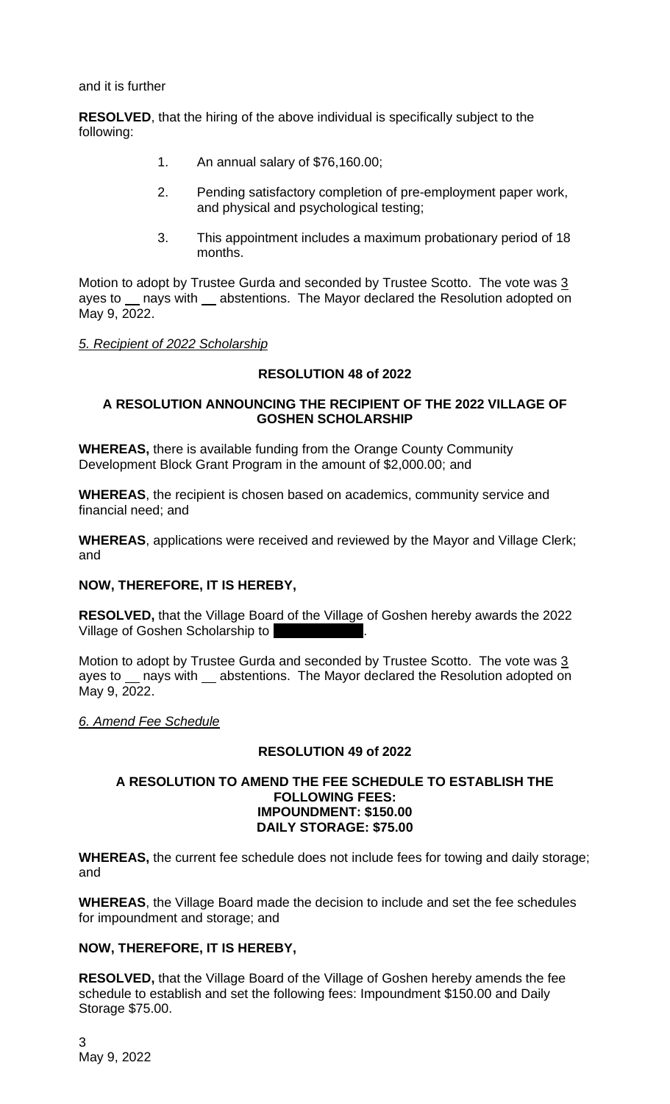and it is further

**RESOLVED**, that the hiring of the above individual is specifically subject to the following:

- 1. An annual salary of \$76,160.00;
- 2. Pending satisfactory completion of pre-employment paper work, and physical and psychological testing;
- 3. This appointment includes a maximum probationary period of 18 months.

Motion to adopt by Trustee Gurda and seconded by Trustee Scotto. The vote was 3 ayes to nays with abstentions. The Mayor declared the Resolution adopted on May 9, 2022.

# *5. Recipient of 2022 Scholarship*

# **RESOLUTION 48 of 2022**

#### **A RESOLUTION ANNOUNCING THE RECIPIENT OF THE 2022 VILLAGE OF GOSHEN SCHOLARSHIP**

**WHEREAS,** there is available funding from the Orange County Community Development Block Grant Program in the amount of \$2,000.00; and

**WHEREAS**, the recipient is chosen based on academics, community service and financial need; and

**WHEREAS**, applications were received and reviewed by the Mayor and Village Clerk; and

# **NOW, THEREFORE, IT IS HEREBY,**

**RESOLVED,** that the Village Board of the Village of Goshen hereby awards the 2022 Village of Goshen Scholarship to

Motion to adopt by Trustee Gurda and seconded by Trustee Scotto. The vote was 3 ayes to \_\_ nays with \_\_ abstentions. The Mayor declared the Resolution adopted on May 9, 2022.

# *6. Amend Fee Schedule*

# **RESOLUTION 49 of 2022**

#### **A RESOLUTION TO AMEND THE FEE SCHEDULE TO ESTABLISH THE FOLLOWING FEES: IMPOUNDMENT: \$150.00 DAILY STORAGE: \$75.00**

**WHEREAS,** the current fee schedule does not include fees for towing and daily storage; and

**WHEREAS**, the Village Board made the decision to include and set the fee schedules for impoundment and storage; and

# **NOW, THEREFORE, IT IS HEREBY,**

**RESOLVED,** that the Village Board of the Village of Goshen hereby amends the fee schedule to establish and set the following fees: Impoundment \$150.00 and Daily Storage \$75.00.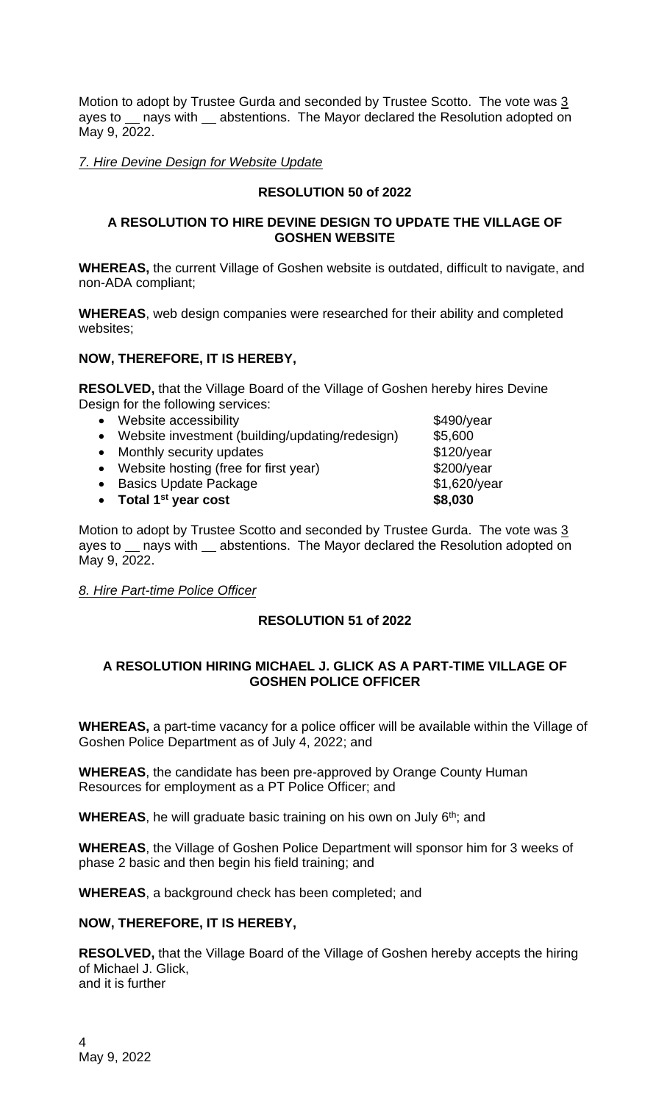Motion to adopt by Trustee Gurda and seconded by Trustee Scotto. The vote was 3 ayes to \_\_ nays with \_\_ abstentions. The Mayor declared the Resolution adopted on May 9, 2022.

*7. Hire Devine Design for Website Update*

# **RESOLUTION 50 of 2022**

#### **A RESOLUTION TO HIRE DEVINE DESIGN TO UPDATE THE VILLAGE OF GOSHEN WEBSITE**

**WHEREAS,** the current Village of Goshen website is outdated, difficult to navigate, and non-ADA compliant;

**WHEREAS**, web design companies were researched for their ability and completed websites;

# **NOW, THEREFORE, IT IS HEREBY,**

**RESOLVED,** that the Village Board of the Village of Goshen hereby hires Devine Design for the following services:

- Website accessibility **\$490/year**
- Website investment (building/updating/redesign) \$5,600
- Monthly security updates **\$120/year**
- Website hosting (free for first year) \$200/year
- Basics Update Package **\$1,620/year**
- 

• **Total 1st year cost \$8,030** Motion to adopt by Trustee Scotto and seconded by Trustee Gurda. The vote was 3 ayes to \_ nays with \_ abstentions. The Mayor declared the Resolution adopted on May 9, 2022.

*8. Hire Part-time Police Officer*

# **RESOLUTION 51 of 2022**

# **A RESOLUTION HIRING MICHAEL J. GLICK AS A PART-TIME VILLAGE OF GOSHEN POLICE OFFICER**

**WHEREAS,** a part-time vacancy for a police officer will be available within the Village of Goshen Police Department as of July 4, 2022; and

**WHEREAS**, the candidate has been pre-approved by Orange County Human Resources for employment as a PT Police Officer; and

**WHEREAS**, he will graduate basic training on his own on July 6<sup>th</sup>; and

**WHEREAS**, the Village of Goshen Police Department will sponsor him for 3 weeks of phase 2 basic and then begin his field training; and

**WHEREAS**, a background check has been completed; and

# **NOW, THEREFORE, IT IS HEREBY,**

**RESOLVED,** that the Village Board of the Village of Goshen hereby accepts the hiring of Michael J. Glick, and it is further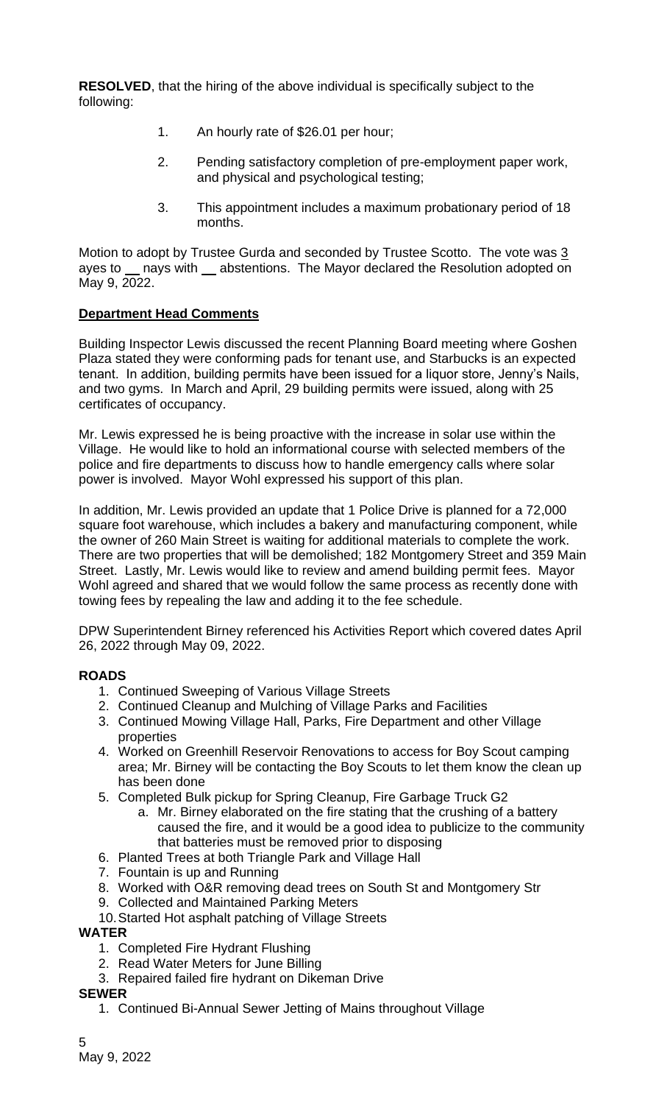**RESOLVED**, that the hiring of the above individual is specifically subject to the following:

- 1. An hourly rate of \$26.01 per hour;
- 2. Pending satisfactory completion of pre-employment paper work, and physical and psychological testing;
- 3. This appointment includes a maximum probationary period of 18 months.

Motion to adopt by Trustee Gurda and seconded by Trustee Scotto. The vote was 3 ayes to nays with abstentions. The Mayor declared the Resolution adopted on May 9, 2022.

# **Department Head Comments**

Building Inspector Lewis discussed the recent Planning Board meeting where Goshen Plaza stated they were conforming pads for tenant use, and Starbucks is an expected tenant. In addition, building permits have been issued for a liquor store, Jenny's Nails, and two gyms. In March and April, 29 building permits were issued, along with 25 certificates of occupancy.

Mr. Lewis expressed he is being proactive with the increase in solar use within the Village. He would like to hold an informational course with selected members of the police and fire departments to discuss how to handle emergency calls where solar power is involved. Mayor Wohl expressed his support of this plan.

In addition, Mr. Lewis provided an update that 1 Police Drive is planned for a 72,000 square foot warehouse, which includes a bakery and manufacturing component, while the owner of 260 Main Street is waiting for additional materials to complete the work. There are two properties that will be demolished; 182 Montgomery Street and 359 Main Street. Lastly, Mr. Lewis would like to review and amend building permit fees. Mayor Wohl agreed and shared that we would follow the same process as recently done with towing fees by repealing the law and adding it to the fee schedule.

DPW Superintendent Birney referenced his Activities Report which covered dates April 26, 2022 through May 09, 2022.

# **ROADS**

- 1. Continued Sweeping of Various Village Streets
- 2. Continued Cleanup and Mulching of Village Parks and Facilities
- 3. Continued Mowing Village Hall, Parks, Fire Department and other Village properties
- 4. Worked on Greenhill Reservoir Renovations to access for Boy Scout camping area; Mr. Birney will be contacting the Boy Scouts to let them know the clean up has been done
- 5. Completed Bulk pickup for Spring Cleanup, Fire Garbage Truck G2
	- a. Mr. Birney elaborated on the fire stating that the crushing of a battery caused the fire, and it would be a good idea to publicize to the community that batteries must be removed prior to disposing
- 6. Planted Trees at both Triangle Park and Village Hall
- 7. Fountain is up and Running
- 8. Worked with O&R removing dead trees on South St and Montgomery Str
- 9. Collected and Maintained Parking Meters
- 10.Started Hot asphalt patching of Village Streets

#### **WATER**

- 1. Completed Fire Hydrant Flushing
- 2. Read Water Meters for June Billing
- 3. Repaired failed fire hydrant on Dikeman Drive

#### **SEWER**

1. Continued Bi-Annual Sewer Jetting of Mains throughout Village